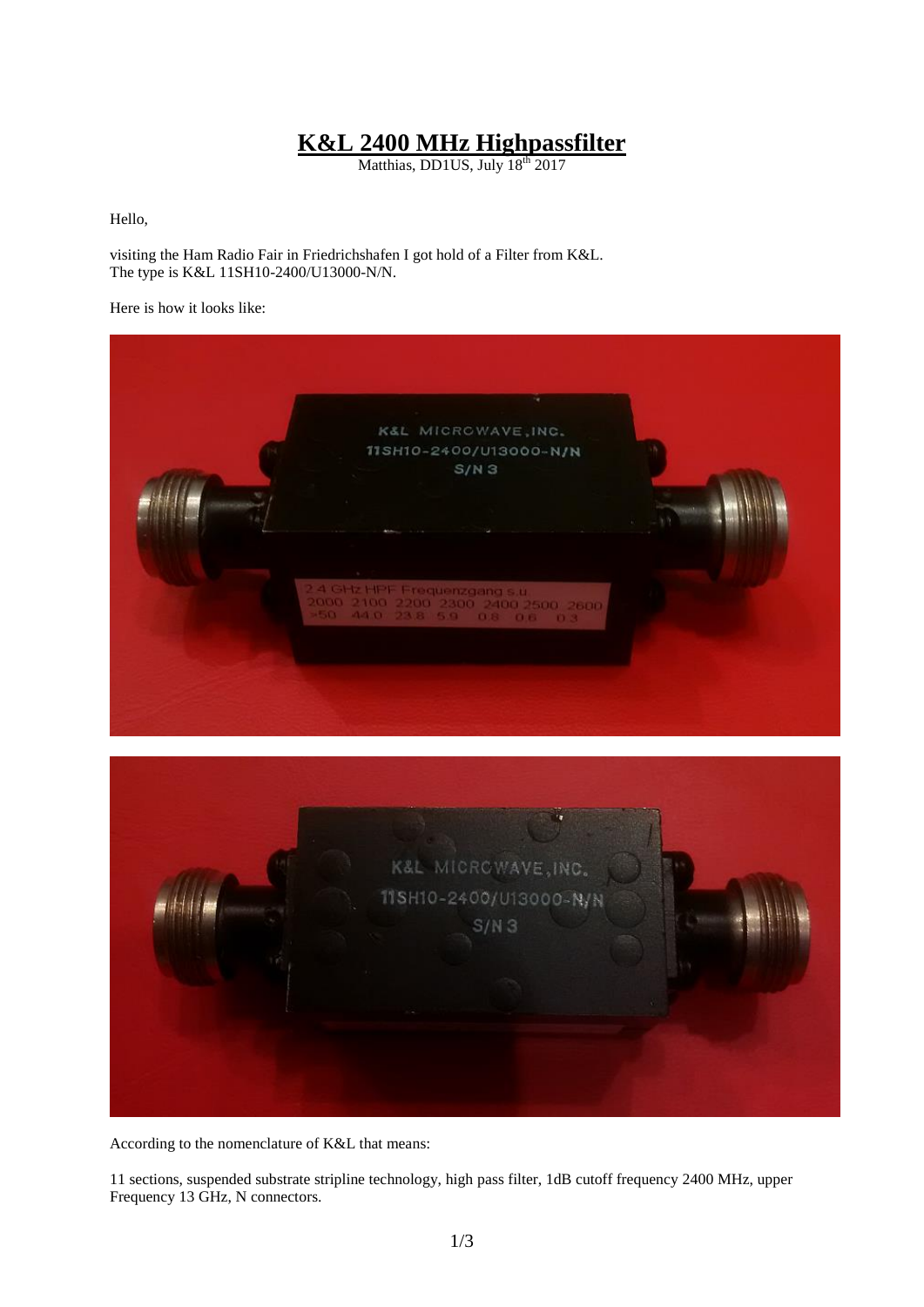## **K&L 2400 MHz Highpassfilter**

Matthias, DD1US, July 18<sup>th</sup> 2017

Hello,

visiting the Ham Radio Fair in Friedrichshafen I got hold of a Filter from K&L. The type is K&L 11SH10-2400/U13000-N/N.

Here is how it looks like:





According to the nomenclature of K&L that means:

11 sections, suspended substrate stripline technology, high pass filter, 1dB cutoff frequency 2400 MHz, upper Frequency 13 GHz, N connectors.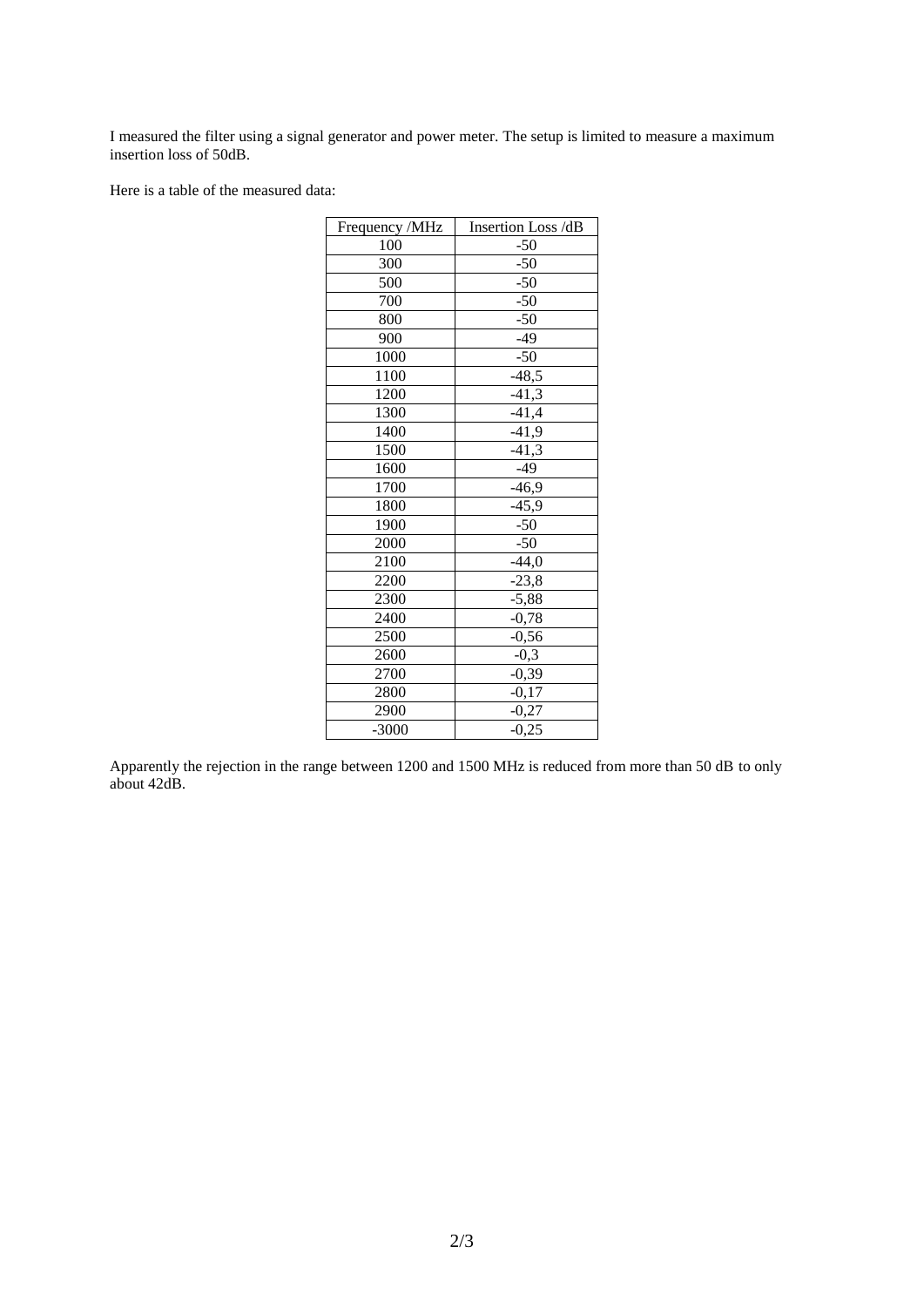I measured the filter using a signal generator and power meter. The setup is limited to measure a maximum insertion loss of 50dB.

Here is a table of the measured data:

| Frequency /MHz | Insertion Loss /dB |
|----------------|--------------------|
| 100            | $-50$              |
| 300            | $-50$              |
| 500            | $-50$              |
| 700            | $-50$              |
| 800            | $-50$              |
| 900            | $-49$              |
| 1000           | $-50$              |
| 1100           | $-48,5$            |
| 1200           | $-41,3$            |
| 1300           | $-41,4$            |
| 1400           | $-41,9$            |
| 1500           | $-41,3$            |
| 1600           | $-49$              |
| 1700           | $-46,9$            |
| 1800           | $-45,9$            |
| 1900           | $-50$              |
| 2000           | $-50$              |
| 2100           | $-44,0$            |
| 2200           | $-23,8$            |
| 2300           | $-5,88$            |
| 2400           | $-0,78$            |
| 2500           | $-0,56$            |
| 2600           | $-0,3$             |
| 2700           | $-0,39$            |
| 2800           | $-0,17$            |
| 2900           | $-0,27$            |
| $-3000$        | $-0,25$            |

Apparently the rejection in the range between 1200 and 1500 MHz is reduced from more than 50 dB to only about 42dB.